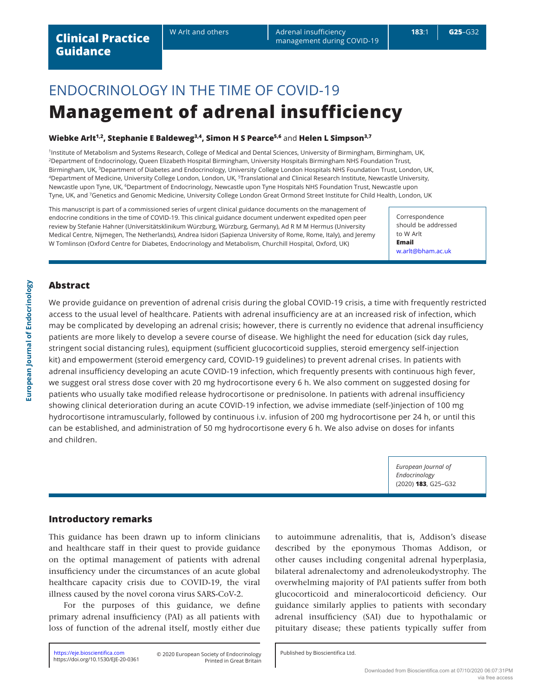W Arlt and others **Adrenal insufficiency 183**:1 **G25**–G32 management during COVID-19

# ENDOCRINOLOGY IN THE TIME OF COVID-19 **Management of adrenal insufficiency**

# **Wiebke Arlt1,2, Stephanie E Baldeweg3,4, Simon H S Pearce5,6** and **Helen L Simpson3,7**

<sup>1</sup>Institute of Metabolism and Systems Research, College of Medical and Dental Sciences, University of Birmingham, Birmingham, UK, <sup>2</sup>Department of Endocrinology, Queen Elizabeth Hospital Birmingham, University Hospitals Birmingham NHS Foundation Trust, Birmingham, UK, <sup>3</sup>Department of Diabetes and Endocrinology, University College London Hospitals NHS Foundation Trust, London, UK, <sup>4</sup>Department of Medicine, University College London, London, UK, <sup>5</sup>Translational and Clinical Research Institute, Newcastle University, Newcastle upon Tyne, UK, <sup>6</sup>Department of Endocrinology, Newcastle upon Tyne Hospitals NHS Foundation Trust, Newcastle upon Tyne, UK, and <sup>7</sup>Genetics and Genomic Medicine, University College London Great Ormond Street Institute for Child Health, London, UK

This manuscript is part of a commissioned series of urgent clinical guidance documents on the management of endocrine conditions in the time of COVID-19. This clinical guidance document underwent expedited open peer review by Stefanie Hahner (Universitätsklinikum Würzburg, Würzburg, Germany), Ad R M M Hermus (University Medical Centre, Nijmegen, The Netherlands), Andrea Isidori (Sapienza University of Rome, Rome, Italy), and Jeremy W Tomlinson (Oxford Centre for Diabetes, Endocrinology and Metabolism, Churchill Hospital, Oxford, UK)

Correspondence should be addressed to W Arlt **Email**  [w.arlt@bham.ac.uk](mailto:w.arlt@bham.ac.uk)

# **Abstract**

We provide guidance on prevention of adrenal crisis during the global COVID-19 crisis, a time with frequently restricted access to the usual level of healthcare. Patients with adrenal insufficiency are at an increased risk of infection, which may be complicated by developing an adrenal crisis; however, there is currently no evidence that adrenal insufficiency patients are more likely to develop a severe course of disease. We highlight the need for education (sick day rules, stringent social distancing rules), equipment (sufficient glucocorticoid supplies, steroid emergency self-injection kit) and empowerment (steroid emergency card, COVID-19 guidelines) to prevent adrenal crises. In patients with adrenal insufficiency developing an acute COVID-19 infection, which frequently presents with continuous high fever, we suggest oral stress dose cover with 20 mg hydrocortisone every 6 h. We also comment on suggested dosing for patients who usually take modified release hydrocortisone or prednisolone. In patients with adrenal insufficiency showing clinical deterioration during an acute COVID-19 infection, we advise immediate (self-)injection of 100 mg hydrocortisone intramuscularly, followed by continuous i.v. infusion of 200 mg hydrocortisone per 24 h, or until this can be established, and administration of 50 mg hydrocortisone every 6 h. We also advise on doses for infants and children.

> *European Journal of Endocrinology*  (2020) **183**, G25–G32

## **Introductory remarks**

This guidance has been drawn up to inform clinicians and healthcare staff in their quest to provide guidance on the optimal management of patients with adrenal insufficiency under the circumstances of an acute global healthcare capacity crisis due to COVID-19, the viral illness caused by the novel corona virus SARS-CoV-2.

For the purposes of this guidance, we define primary adrenal insufficiency (PAI) as all patients with loss of function of the adrenal itself, mostly either due

<https://eje.bioscientifica.com> © 2020 European Society of Endocrinology <https://doi.org/10.1530/EJE-20-0361>

to autoimmune adrenalitis, that is, Addison's disease described by the eponymous Thomas Addison, or other causes including congenital adrenal hyperplasia, bilateral adrenalectomy and adrenoleukodystrophy. The overwhelming majority of PAI patients suffer from both glucocorticoid and mineralocorticoid deficiency. Our guidance similarly applies to patients with secondary adrenal insufficiency (SAI) due to hypothalamic or pituitary disease; these patients typically suffer from

Printed in Great Britain

Published by Bioscientifica Ltd.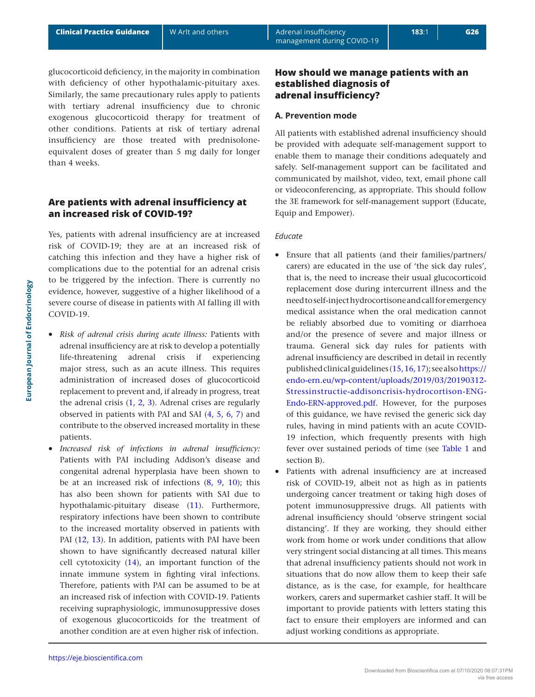glucocorticoid deficiency, in the majority in combination with deficiency of other hypothalamic-pituitary axes. Similarly, the same precautionary rules apply to patients with tertiary adrenal insufficiency due to chronic exogenous glucocorticoid therapy for treatment of other conditions. Patients at risk of tertiary adrenal insufficiency are those treated with prednisoloneequivalent doses of greater than 5 mg daily for longer than 4 weeks.

# **Are patients with adrenal insufficiency at an increased risk of COVID-19?**

Yes, patients with adrenal insufficiency are at increased risk of COVID-19; they are at an increased risk of catching this infection and they have a higher risk of complications due to the potential for an adrenal crisis to be triggered by the infection. There is currently no evidence, however, suggestive of a higher likelihood of a severe course of disease in patients with AI falling ill with COVID-19.

- *Risk of adrenal crisis during acute illness:* Patients with adrenal insufficiency are at risk to develop a potentially life-threatening adrenal crisis if experiencing major stress, such as an acute illness. This requires administration of increased doses of glucocorticoid replacement to prevent and, if already in progress, treat the adrenal crisis  $(1, 2, 3)$  $(1, 2, 3)$  $(1, 2, 3)$  $(1, 2, 3)$  $(1, 2, 3)$  $(1, 2, 3)$ . Adrenal crises are regularly observed in patients with PAI and SAI [\(4](#page-6-3), [5](#page-6-4), [6](#page-6-5), [7\)](#page-7-0) and contribute to the observed increased mortality in these patients.
- *Increased risk of infections in adrenal insufficiency:* Patients with PAI including Addison's disease and congenital adrenal hyperplasia have been shown to be at an increased risk of infections [\(8,](#page-7-1) [9,](#page-7-2) [10](#page-7-3)); this has also been shown for patients with SAI due to hypothalamic-pituitary disease [\(11](#page-7-4)). Furthermore, respiratory infections have been shown to contribute to the increased mortality observed in patients with PAI [\(12,](#page-7-5) [13\)](#page-7-6). In addition, patients with PAI have been shown to have significantly decreased natural killer cell cytotoxicity [\(14\)](#page-7-7), an important function of the innate immune system in fighting viral infections. Therefore, patients with PAI can be assumed to be at an increased risk of infection with COVID-19. Patients receiving supraphysiologic, immunosuppressive doses of exogenous glucocorticoids for the treatment of another condition are at even higher risk of infection.

# **How should we manage patients with an established diagnosis of adrenal insufficiency?**

## **A. Prevention mode**

All patients with established adrenal insufficiency should be provided with adequate self-management support to enable them to manage their conditions adequately and safely. Self-management support can be facilitated and communicated by mailshot, video, text, email phone call or videoconferencing, as appropriate. This should follow the 3E framework for self-management support (Educate, Equip and Empower).

### *Educate*

- Ensure that all patients (and their families/partners/ carers) are educated in the use of 'the sick day rules', that is, the need to increase their usual glucocorticoid replacement dose during intercurrent illness and the need to self-inject hydrocortisone and call for emergency medical assistance when the oral medication cannot be reliably absorbed due to vomiting or diarrhoea and/or the presence of severe and major illness or trauma. General sick day rules for patients with adrenal insufficiency are described in detail in recently published clinical guidelines ([15](#page-7-8), [16](#page-7-9), [17](#page-7-10)); see also [https://](https://endo-ern.eu/wp-content/uploads/2019/03/20190312-Stressinstructie-addisoncrisis-hydrocortison-ENG-Endo-ERN-approved.pdf) [endo-ern.eu/wp-content/uploads/2019/03/20190312-](https://endo-ern.eu/wp-content/uploads/2019/03/20190312-Stressinstructie-addisoncrisis-hydrocortison-ENG-Endo-ERN-approved.pdf) [Stressinstructie-addisoncrisis-hydrocortison-ENG-](https://endo-ern.eu/wp-content/uploads/2019/03/20190312-Stressinstructie-addisoncrisis-hydrocortison-ENG-Endo-ERN-approved.pdf)[Endo-ERN-approved.pdf.](https://endo-ern.eu/wp-content/uploads/2019/03/20190312-Stressinstructie-addisoncrisis-hydrocortison-ENG-Endo-ERN-approved.pdf) However, for the purposes of this guidance, we have revised the generic sick day rules, having in mind patients with an acute COVID-19 infection, which frequently presents with high fever over sustained periods of time (see [Table 1](#page-2-0) and section B).
- Patients with adrenal insufficiency are at increased risk of COVID-19, albeit not as high as in patients undergoing cancer treatment or taking high doses of potent immunosuppressive drugs. All patients with adrenal insufficiency should 'observe stringent social distancing'. If they are working, they should either work from home or work under conditions that allow very stringent social distancing at all times. This means that adrenal insufficiency patients should not work in situations that do now allow them to keep their safe distance, as is the case, for example, for healthcare workers, carers and supermarket cashier staff. It will be important to provide patients with letters stating this fact to ensure their employers are informed and can adjust working conditions as appropriate.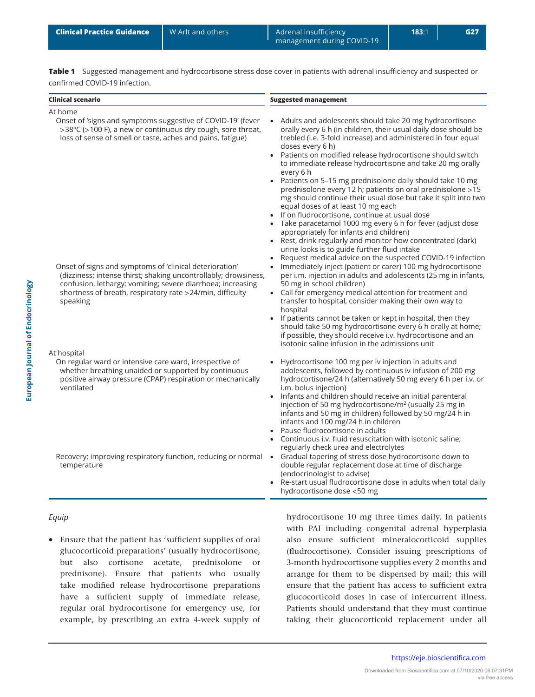<span id="page-2-0"></span>**Clinical Practice Guidance** N Arlt and others Adrenal insufficiency 183:1 | G27 management during COVID-19

**Table 1** Suggested management and hydrocortisone stress dose cover in patients with adrenal insufficiency and suspected or confirmed COVID-19 infection.

| <b>Clinical scenario</b>                                                                                                                                                                                                                                                                                                                                                                                                                                       | <b>Suggested management</b>                                                                                                                                                                                                                                                                                                                                                                                                                                                                                                                                                                                                                                                                                                                                                                                                                                                                                                                                                                                                                                                                                                                                                                                                                                                                                                                                                                                                                                                                      |
|----------------------------------------------------------------------------------------------------------------------------------------------------------------------------------------------------------------------------------------------------------------------------------------------------------------------------------------------------------------------------------------------------------------------------------------------------------------|--------------------------------------------------------------------------------------------------------------------------------------------------------------------------------------------------------------------------------------------------------------------------------------------------------------------------------------------------------------------------------------------------------------------------------------------------------------------------------------------------------------------------------------------------------------------------------------------------------------------------------------------------------------------------------------------------------------------------------------------------------------------------------------------------------------------------------------------------------------------------------------------------------------------------------------------------------------------------------------------------------------------------------------------------------------------------------------------------------------------------------------------------------------------------------------------------------------------------------------------------------------------------------------------------------------------------------------------------------------------------------------------------------------------------------------------------------------------------------------------------|
| At home                                                                                                                                                                                                                                                                                                                                                                                                                                                        |                                                                                                                                                                                                                                                                                                                                                                                                                                                                                                                                                                                                                                                                                                                                                                                                                                                                                                                                                                                                                                                                                                                                                                                                                                                                                                                                                                                                                                                                                                  |
| Onset of 'signs and symptoms suggestive of COVID-19' (fever<br>>38°C (>100 F), a new or continuous dry cough, sore throat,<br>loss of sense of smell or taste, aches and pains, fatigue)<br>Onset of signs and symptoms of 'clinical deterioration'<br>(dizziness; intense thirst; shaking uncontrollably; drowsiness,<br>confusion, lethargy; vomiting; severe diarrhoea; increasing<br>shortness of breath, respiratory rate >24/min, difficulty<br>speaking | Adults and adolescents should take 20 mg hydrocortisone<br>orally every 6 h (in children, their usual daily dose should be<br>trebled (i.e. 3-fold increase) and administered in four equal<br>doses every 6 h)<br>• Patients on modified release hydrocortisone should switch<br>to immediate release hydrocortisone and take 20 mg orally<br>every 6 h<br>• Patients on 5-15 mg prednisolone daily should take 10 mg<br>prednisolone every 12 h; patients on oral prednisolone >15<br>mg should continue their usual dose but take it split into two<br>equal doses of at least 10 mg each<br>• If on fludrocortisone, continue at usual dose<br>Take paracetamol 1000 mg every 6 h for fever (adjust dose<br>appropriately for infants and children)<br>Rest, drink regularly and monitor how concentrated (dark)<br>urine looks is to guide further fluid intake<br>Request medical advice on the suspected COVID-19 infection<br>Immediately inject (patient or carer) 100 mg hydrocortisone<br>$\bullet$<br>per i.m. injection in adults and adolescents (25 mg in infants,<br>50 mg in school children)<br>• Call for emergency medical attention for treatment and<br>transfer to hospital, consider making their own way to<br>hospital<br>• If patients cannot be taken or kept in hospital, then they<br>should take 50 mg hydrocortisone every 6 h orally at home;<br>if possible, they should receive i.v. hydrocortisone and an<br>isotonic saline infusion in the admissions unit |
| At hospital                                                                                                                                                                                                                                                                                                                                                                                                                                                    |                                                                                                                                                                                                                                                                                                                                                                                                                                                                                                                                                                                                                                                                                                                                                                                                                                                                                                                                                                                                                                                                                                                                                                                                                                                                                                                                                                                                                                                                                                  |
| On regular ward or intensive care ward, irrespective of<br>whether breathing unaided or supported by continuous<br>positive airway pressure (CPAP) respiration or mechanically<br>ventilated                                                                                                                                                                                                                                                                   | Hydrocortisone 100 mg per iv injection in adults and<br>adolescents, followed by continuous iv infusion of 200 mg<br>hydrocortisone/24 h (alternatively 50 mg every 6 h per i.v. or<br>i.m. bolus injection)<br>Infants and children should receive an initial parenteral<br>$\bullet$<br>injection of 50 mg hydrocortisone/m <sup>2</sup> (usually 25 mg in<br>infants and 50 mg in children) followed by 50 mg/24 h in<br>infants and 100 mg/24 h in children<br>• Pause fludrocortisone in adults<br>Continuous i.v. fluid resuscitation with isotonic saline;<br>regularly check urea and electrolytes                                                                                                                                                                                                                                                                                                                                                                                                                                                                                                                                                                                                                                                                                                                                                                                                                                                                                       |
| Recovery; improving respiratory function, reducing or normal<br>temperature                                                                                                                                                                                                                                                                                                                                                                                    | Gradual tapering of stress dose hydrocortisone down to<br>$\bullet$<br>double regular replacement dose at time of discharge<br>(endocrinologist to advise)<br>Re-start usual fludrocortisone dose in adults when total daily<br>hydrocortisone dose <50 mg                                                                                                                                                                                                                                                                                                                                                                                                                                                                                                                                                                                                                                                                                                                                                                                                                                                                                                                                                                                                                                                                                                                                                                                                                                       |

## *Equip*

• Ensure that the patient has 'sufficient supplies of oral glucocorticoid preparations' (usually hydrocortisone, but also cortisone acetate, prednisolone or prednisone). Ensure that patients who usually take modified release hydrocortisone preparations have a sufficient supply of immediate release, regular oral hydrocortisone for emergency use, for example, by prescribing an extra 4-week supply of hydrocortisone 10 mg three times daily. In patients with PAI including congenital adrenal hyperplasia also ensure sufficient mineralocorticoid supplies (fludrocortisone). Consider issuing prescriptions of 3-month hydrocortisone supplies every 2 months and arrange for them to be dispensed by mail; this will ensure that the patient has access to sufficient extra glucocorticoid doses in case of intercurrent illness. Patients should understand that they must continue taking their glucocorticoid replacement under all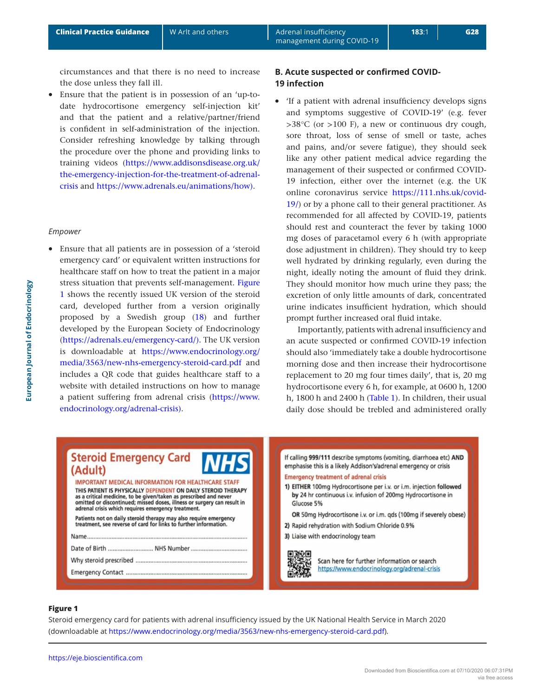circumstances and that there is no need to increase the dose unless they fall ill.

• Ensure that the patient is in possession of an 'up-todate hydrocortisone emergency self-injection kit' and that the patient and a relative/partner/friend is confident in self-administration of the injection. Consider refreshing knowledge by talking through the procedure over the phone and providing links to training videos ([https://www.addisonsdisease.org.uk/](https://www.addisonsdisease.org.uk/the-emergency-injection-for-the-treatment-of-adrenal-crisis) [the-emergency-injection-for-the-treatment-of-adrenal](https://www.addisonsdisease.org.uk/the-emergency-injection-for-the-treatment-of-adrenal-crisis)[crisis](https://www.addisonsdisease.org.uk/the-emergency-injection-for-the-treatment-of-adrenal-crisis) and [https://www.adrenals.eu/animations/how\)](https://www.adrenals.eu/animations/how)).

#### *Empower*

• Ensure that all patients are in possession of a 'steroid emergency card' or equivalent written instructions for healthcare staff on how to treat the patient in a major stress situation that prevents self-management. Figure 1 shows the recently issued UK version of the steroid card, developed further from a version originally proposed by a Swedish group [\(18](#page-7-11)) and further developed by the European Society of Endocrinology [\(https://adrenals.eu/emergency-card/\).](https://adrenals.eu/emergency-card/)) The UK version is downloadable at [https://www.endocrinology.org/](https://www.endocrinology.org/media/3563/new-nhs-emergency-steroid-card.pdf) [media/3563/new-nhs-emergency-steroid-card.pdf](https://www.endocrinology.org/media/3563/new-nhs-emergency-steroid-card.pdf) and includes a QR code that guides healthcare staff to a website with detailed instructions on how to manage a patient suffering from adrenal crisis ([https://www.](https://www.endocrinology.org/adrenal-crisis)) [endocrinology.org/adrenal-crisis\)](https://www.endocrinology.org/adrenal-crisis)).

## **B. Acute suspected or confirmed COVID-19 infection**

• 'If a patient with adrenal insufficiency develops signs and symptoms suggestive of COVID-19' (e.g. fever >38°C (or >100 F), a new or continuous dry cough, sore throat, loss of sense of smell or taste, aches and pains, and/or severe fatigue), they should seek like any other patient medical advice regarding the management of their suspected or confirmed COVID-19 infection, either over the internet (e.g. the UK online coronavirus service [https://111.nhs.uk/covid-](https://111.nhs.uk/covid-19/)[19/](https://111.nhs.uk/covid-19/)) or by a phone call to their general practitioner. As recommended for all affected by COVID-19, patients should rest and counteract the fever by taking 1000 mg doses of paracetamol every 6 h (with appropriate dose adjustment in children). They should try to keep well hydrated by drinking regularly, even during the night, ideally noting the amount of fluid they drink. They should monitor how much urine they pass; the excretion of only little amounts of dark, concentrated urine indicates insufficient hydration, which should prompt further increased oral fluid intake.

Importantly, patients with adrenal insufficiency and an acute suspected or confirmed COVID-19 infection should also 'immediately take a double hydrocortisone morning dose and then increase their hydrocortisone replacement to 20 mg four times daily', that is, 20 mg hydrocortisone every 6 h, for example, at 0600 h, 1200 h, 1800 h and 2400 h ([Table 1](#page-2-0)). In children, their usual daily dose should be trebled and administered orally

|      | <b>Steroid Emergency Card</b>                                                                                                                                                                                                                                                                                                    | <b>NHS</b> |
|------|----------------------------------------------------------------------------------------------------------------------------------------------------------------------------------------------------------------------------------------------------------------------------------------------------------------------------------|------------|
|      | (Adult)                                                                                                                                                                                                                                                                                                                          |            |
|      | <b>IMPORTANT MEDICAL INFORMATION FOR HEALTHCARE STAFF</b><br>THIS PATIENT IS PHYSICALLY DEPENDENT ON DAILY STEROID THERAPY<br>as a critical medicine, to be given/taken as prescribed and never<br>omitted or discontinued; missed doses, illness or surgery can result in<br>adrenal crisis which requires emergency treatment. |            |
|      | Patients not on daily steroid therapy may also require emergency<br>treatment, see reverse of card for links to further information.                                                                                                                                                                                             |            |
| Name |                                                                                                                                                                                                                                                                                                                                  |            |
|      |                                                                                                                                                                                                                                                                                                                                  |            |
|      |                                                                                                                                                                                                                                                                                                                                  |            |
|      |                                                                                                                                                                                                                                                                                                                                  |            |

If calling 999/111 describe symptoms (vomiting, diarrhoea etc) AND emphasise this is a likely Addison's/adrenal emergency or crisis **Emergency treatment of adrenal crisis** 1) EITHER 100mg Hydrocortisone per i.v. or i.m. injection followed by 24 hr continuous i.v. infusion of 200mg Hydrocortisone in Glucose 5% OR 50mg Hydrocortisone i.v. or i.m. qds (100mg if severely obese) 2) Rapid rehydration with Sodium Chloride 0.9% 3) Liaise with endocrinology team

> Scan here for further information or search https://www.endocrinology.org/adrenal-crisis

#### **Figure 1**

Steroid emergency card for patients with adrenal insufficiency issued by the UK National Health Service in March 2020 (downloadable at<https://www.endocrinology.org/media/3563/new-nhs-emergency-steroid-card.pdf>).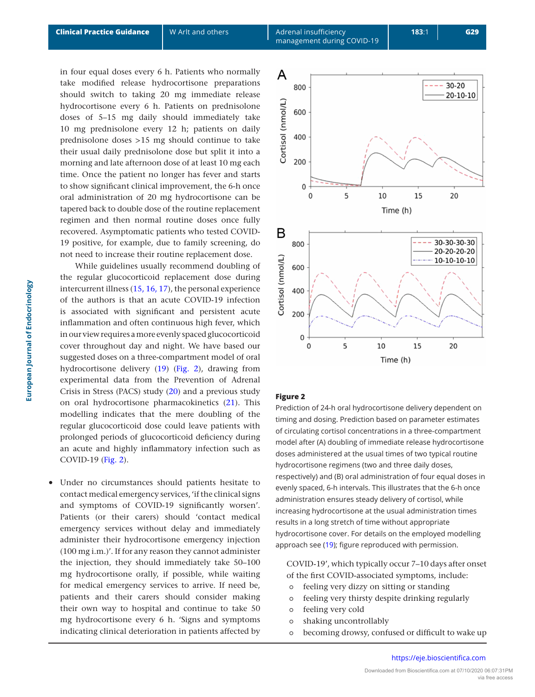in four equal doses every 6 h. Patients who normally take modified release hydrocortisone preparations should switch to taking 20 mg immediate release hydrocortisone every 6 h. Patients on prednisolone doses of 5–15 mg daily should immediately take 10 mg prednisolone every 12 h; patients on daily prednisolone doses >15 mg should continue to take their usual daily prednisolone dose but split it into a morning and late afternoon dose of at least 10 mg each time. Once the patient no longer has fever and starts to show significant clinical improvement, the 6-h once oral administration of 20 mg hydrocortisone can be tapered back to double dose of the routine replacement regimen and then normal routine doses once fully recovered. Asymptomatic patients who tested COVID-19 positive, for example, due to family screening, do not need to increase their routine replacement dose.

While guidelines usually recommend doubling of the regular glucocorticoid replacement dose during intercurrent illness ([15,](#page-7-8) [16,](#page-7-9) [17](#page-7-10)), the personal experience of the authors is that an acute COVID-19 infection is associated with significant and persistent acute inflammation and often continuous high fever, which in our view requires a more evenly spaced glucocorticoid cover throughout day and night. We have based our suggested doses on a three-compartment model of oral hydrocortisone delivery [\(19](#page-7-12)) (Fig. 2), drawing from experimental data from the Prevention of Adrenal Crisis in Stress (PACS) study [\(20\)](#page-7-13) and a previous study on oral hydrocortisone pharmacokinetics ([21\)](#page-7-14). This modelling indicates that the mere doubling of the regular glucocorticoid dose could leave patients with prolonged periods of glucocorticoid deficiency during an acute and highly inflammatory infection such as COVID-19 (Fig. 2).

Under no circumstances should patients hesitate to contact medical emergency services, 'if the clinical signs and symptoms of COVID-19 significantly worsen'. Patients (or their carers) should 'contact medical emergency services without delay and immediately administer their hydrocortisone emergency injection (100 mg i.m.)'. If for any reason they cannot administer the injection, they should immediately take 50–100 mg hydrocortisone orally, if possible, while waiting for medical emergency services to arrive. If need be, patients and their carers should consider making their own way to hospital and continue to take 50 mg hydrocortisone every 6 h. 'Signs and symptoms indicating clinical deterioration in patients affected by



## **Figure 2**

Prediction of 24-h oral hydrocortisone delivery dependent on timing and dosing. Prediction based on parameter estimates of circulating cortisol concentrations in a three-compartment model after (A) doubling of immediate release hydrocortisone doses administered at the usual times of two typical routine hydrocortisone regimens (two and three daily doses, respectively) and (B) oral administration of four equal doses in evenly spaced, 6-h intervals. This illustrates that the 6-h once administration ensures steady delivery of cortisol, while increasing hydrocortisone at the usual administration times results in a long stretch of time without appropriate hydrocortisone cover. For details on the employed modelling approach see ([19](#page-7-12)); figure reproduced with permission.

COVID-19', which typically occur 7–10 days after onset of the first COVID-associated symptoms, include:

- ⚬ feeling very dizzy on sitting or standing
- ⚬ feeling very thirsty despite drinking regularly
- ⚬ feeling very cold
- ⚬ shaking uncontrollably
- ⚬ becoming drowsy, confused or difficult to wake up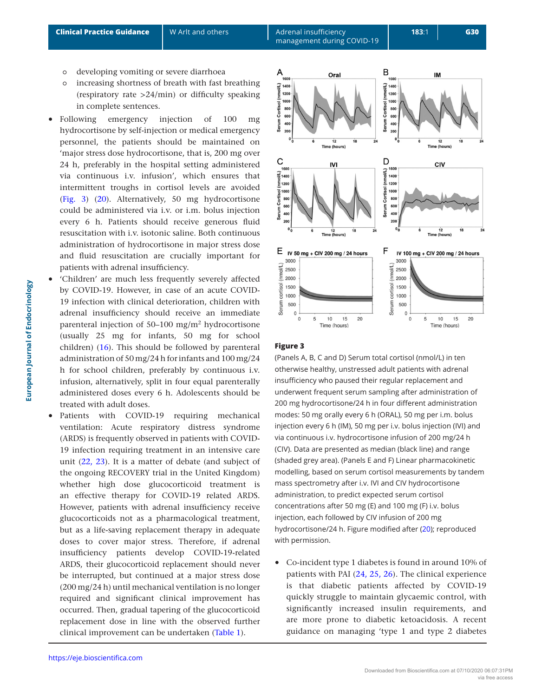- ⚬ developing vomiting or severe diarrhoea
- ⚬ increasing shortness of breath with fast breathing (respiratory rate >24/min) or difficulty speaking in complete sentences.
- Following emergency injection of 100 mg hydrocortisone by self-injection or medical emergency personnel, the patients should be maintained on 'major stress dose hydrocortisone, that is, 200 mg over 24 h, preferably in the hospital setting administered via continuous i.v. infusion', which ensures that intermittent troughs in cortisol levels are avoided (Fig. 3) ([20](#page-7-13)). Alternatively, 50 mg hydrocortisone could be administered via i.v. or i.m. bolus injection every 6 h. Patients should receive generous fluid resuscitation with i.v. isotonic saline. Both continuous administration of hydrocortisone in major stress dose and fluid resuscitation are crucially important for patients with adrenal insufficiency.
- 'Children' are much less frequently severely affected by COVID-19. However, in case of an acute COVID-19 infection with clinical deterioration, children with adrenal insufficiency should receive an immediate parenteral injection of 50–100 mg/m2 hydrocortisone (usually 25 mg for infants, 50 mg for school children) [\(16\)](#page-7-9). This should be followed by parenteral administration of 50 mg/24 h for infants and 100 mg/24 h for school children, preferably by continuous i.v. infusion, alternatively, split in four equal parenterally administered doses every 6 h. Adolescents should be treated with adult doses.
- Patients with COVID-19 requiring mechanical ventilation: Acute respiratory distress syndrome (ARDS) is frequently observed in patients with COVID-19 infection requiring treatment in an intensive care unit ([22,](#page-7-15) [23\)](#page-7-16). It is a matter of debate (and subject of the ongoing RECOVERY trial in the United Kingdom) whether high dose glucocorticoid treatment is an effective therapy for COVID-19 related ARDS. However, patients with adrenal insufficiency receive glucocorticoids not as a pharmacological treatment, but as a life-saving replacement therapy in adequate doses to cover major stress. Therefore, if adrenal insufficiency patients develop COVID-19-related ARDS, their glucocorticoid replacement should never be interrupted, but continued at a major stress dose (200 mg/24 h) until mechanical ventilation is no longer required and significant clinical improvement has occurred. Then, gradual tapering of the glucocorticoid replacement dose in line with the observed further clinical improvement can be undertaken ([Table 1](#page-2-0)).



## **Figure 3**

(Panels A, B, C and D) Serum total cortisol (nmol/L) in ten otherwise healthy, unstressed adult patients with adrenal insufficiency who paused their regular replacement and underwent frequent serum sampling after administration of 200 mg hydrocortisone/24 h in four different administration modes: 50 mg orally every 6 h (ORAL), 50 mg per i.m. bolus injection every 6 h (IM), 50 mg per i.v. bolus injection (IVI) and via continuous i.v. hydrocortisone infusion of 200 mg/24 h (CIV). Data are presented as median (black line) and range (shaded grey area). (Panels E and F) Linear pharmacokinetic modelling, based on serum cortisol measurements by tandem mass spectrometry after i.v. IVI and CIV hydrocortisone administration, to predict expected serum cortisol concentrations after 50 mg (E) and 100 mg (F) i.v. bolus injection, each followed by CIV infusion of 200 mg hydrocortisone/24 h. Figure modified after ([20](#page-7-13)); reproduced with permission.

• Co-incident type 1 diabetes is found in around 10% of patients with PAI [\(24,](#page-7-17) [25,](#page-7-18) [26](#page-7-19)). The clinical experience is that diabetic patients affected by COVID-19 quickly struggle to maintain glycaemic control, with significantly increased insulin requirements, and are more prone to diabetic ketoacidosis. A recent guidance on managing 'type 1 and type 2 diabetes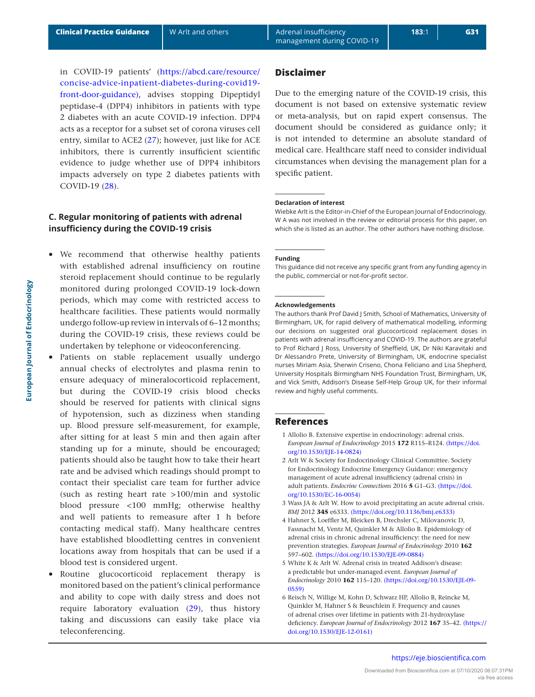in COVID-19 patients' [\(https://abcd.care/resource/](https://abcd.care/resource/concise-advice-inpatient-diabetes-during-covid19-front-door-guidance)) [concise-advice-inpatient-diabetes-during-covid19](https://abcd.care/resource/concise-advice-inpatient-diabetes-during-covid19-front-door-guidance)) [front-door-guidance\)](https://abcd.care/resource/concise-advice-inpatient-diabetes-during-covid19-front-door-guidance)), advises stopping Dipeptidyl peptidase-4 (DPP4) inhibitors in patients with type 2 diabetes with an acute COVID-19 infection. DPP4 acts as a receptor for a subset set of corona viruses cell entry, similar to ACE2 ([27](#page-7-20)); however, just like for ACE inhibitors, there is currently insufficient scientific evidence to judge whether use of DPP4 inhibitors impacts adversely on type 2 diabetes patients with COVID-19 [\(28\)](#page-7-21).

# **C. Regular monitoring of patients with adrenal insufficiency during the COVID-19 crisis**

- We recommend that otherwise healthy patients with established adrenal insufficiency on routine steroid replacement should continue to be regularly monitored during prolonged COVID-19 lock-down periods, which may come with restricted access to healthcare facilities. These patients would normally undergo follow-up review in intervals of 6–12 months; during the COVID-19 crisis, these reviews could be undertaken by telephone or videoconferencing.
- Patients on stable replacement usually undergo annual checks of electrolytes and plasma renin to ensure adequacy of mineralocorticoid replacement, but during the COVID-19 crisis blood checks should be reserved for patients with clinical signs of hypotension, such as dizziness when standing up. Blood pressure self-measurement, for example, after sitting for at least 5 min and then again after standing up for a minute, should be encouraged; patients should also be taught how to take their heart rate and be advised which readings should prompt to contact their specialist care team for further advice (such as resting heart rate >100/min and systolic blood pressure <100 mmHg; otherwise healthy and well patients to remeasure after 1 h before contacting medical staff). Many healthcare centres have established bloodletting centres in convenient locations away from hospitals that can be used if a blood test is considered urgent.
- Routine glucocorticoid replacement therapy is monitored based on the patient's clinical performance and ability to cope with daily stress and does not require laboratory evaluation [\(29\)](#page-7-22), thus history taking and discussions can easily take place via teleconferencing.

## **Disclaimer**

Due to the emerging nature of the COVID-19 crisis, this document is not based on extensive systematic review or meta-analysis, but on rapid expert consensus. The document should be considered as guidance only; it is not intended to determine an absolute standard of medical care. Healthcare staff need to consider individual circumstances when devising the management plan for a specific patient.

#### **Declaration of interest**

Wiebke Arlt is the Editor-in-Chief of the European Journal of Endocrinology. W A was not involved in the review or editorial process for this paper, on which she is listed as an author. The other authors have nothing disclose.

#### **Funding**

This guidance did not receive any specific grant from any funding agency in the public, commercial or not-for-profit sector.

#### **Acknowledgements**

The authors thank Prof David J Smith, School of Mathematics, University of Birmingham, UK, for rapid delivery of mathematical modelling, informing our decisions on suggested oral glucocorticoid replacement doses in patients with adrenal insufficiency and COVID-19. The authors are grateful to Prof Richard J Ross, University of Sheffield, UK, Dr Niki Karavitaki and Dr Alessandro Prete, University of Birmingham, UK, endocrine specialist nurses Miriam Asia, Sherwin Criseno, Chona Feliciano and Lisa Shepherd, University Hospitals Birmingham NHS Foundation Trust, Birmingham, UK, and Vick Smith, Addison's Disease Self-Help Group UK, for their informal review and highly useful comments.

#### **References**

- <span id="page-6-0"></span>1 Allolio B. Extensive expertise in endocrinology: adrenal crisis. *European Journal of Endocrinology* 2015 **172** R115–R124. [\(https://doi.](https://doi.org/10.1530/EJE-14-0824) [org/10.1530/EJE-14-0824\)](https://doi.org/10.1530/EJE-14-0824)
- <span id="page-6-1"></span>2 Arlt W & Society for Endocrinology Clinical Committee. Society for Endocrinology Endocrine Emergency Guidance: emergency management of acute adrenal insufficiency (adrenal crisis) in adult patients. *Endocrine Connections* 2016 **5** G1–G3. [\(https://doi.](https://doi.org/10.1530/EC-16-0054) [org/10.1530/EC-16-0054\)](https://doi.org/10.1530/EC-16-0054)
- <span id="page-6-2"></span>3 Wass JA & Arlt W. How to avoid precipitating an acute adrenal crisis. *BMJ* 2012 **345** e6333. [\(https://doi.org/10.1136/bmj.e6333\)](https://doi.org/10.1136/bmj.e6333)
- <span id="page-6-3"></span>4 Hahner S, Loeffler M, Bleicken B, Drechsler C, Milovanovic D, Fassnacht M, Ventz M, Quinkler M & Allolio B. Epidemiology of adrenal crisis in chronic adrenal insufficiency: the need for new prevention strategies. *European Journal of Endocrinology* 2010 **162** 597–602. [\(https://doi.org/10.1530/EJE-09-0884\)](https://doi.org/10.1530/EJE-09-0884)
- <span id="page-6-4"></span>5 White K & Arlt W. Adrenal crisis in treated Addison's disease: a predictable but under-managed event. *European Journal of Endocrinology* 2010 **162** 115–120. [\(https://doi.org/10.1530/EJE-09-](https://doi.org/10.1530/EJE-09-0559) [0559\)](https://doi.org/10.1530/EJE-09-0559)
- <span id="page-6-5"></span>6 Reisch N, Willige M, Kohn D, Schwarz HP, Allolio B, Reincke M, Quinkler M, Hahner S & Beuschlein F. Frequency and causes of adrenal crises over lifetime in patients with 21-hydroxylase deficiency. *European Journal of Endocrinology* 2012 **167** 35–42. [\(https://](https://doi.org/10.1530/EJE-12-0161) [doi.org/10.1530/EJE-12-0161\)](https://doi.org/10.1530/EJE-12-0161)

## <https://eje.bioscientifica.com>